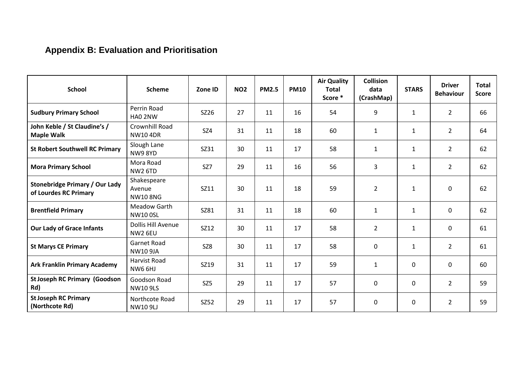## **Appendix B: Evaluation and Prioritisation**

| <b>School</b>                                                  | <b>Scheme</b>                           | Zone ID         | <b>NO2</b> | <b>PM2.5</b> | <b>PM10</b> | <b>Air Quality</b><br><b>Total</b><br>Score * | <b>Collision</b><br>data<br>(CrashMap) | <b>STARS</b> | <b>Driver</b><br><b>Behaviour</b> | <b>Total</b><br><b>Score</b> |
|----------------------------------------------------------------|-----------------------------------------|-----------------|------------|--------------|-------------|-----------------------------------------------|----------------------------------------|--------------|-----------------------------------|------------------------------|
| <b>Sudbury Primary School</b>                                  | Perrin Road<br>HAO 2NW                  | SZ26            | 27         | 11           | 16          | 54                                            | 9                                      | $\mathbf{1}$ | $\overline{2}$                    | 66                           |
| John Keble / St Claudine's /<br><b>Maple Walk</b>              | Crownhill Road<br><b>NW104DR</b>        | <b>SZ4</b>      | 31         | 11           | 18          | 60                                            | $\mathbf{1}$                           | $\mathbf{1}$ | $\overline{2}$                    | 64                           |
| <b>St Robert Southwell RC Primary</b>                          | Slough Lane<br><b>NW98YD</b>            | SZ31            | 30         | 11           | 17          | 58                                            | 1                                      | $\mathbf{1}$ | $\overline{2}$                    | 62                           |
| <b>Mora Primary School</b>                                     | Mora Road<br><b>NW2 6TD</b>             | SZ7             | 29         | 11           | 16          | 56                                            | 3                                      | $\mathbf{1}$ | $\overline{2}$                    | 62                           |
| <b>Stonebridge Primary / Our Lady</b><br>of Lourdes RC Primary | Shakespeare<br>Avenue<br><b>NW108NG</b> | SZ11            | 30         | 11           | 18          | 59                                            | $\overline{2}$                         | $\mathbf{1}$ | $\mathbf 0$                       | 62                           |
| <b>Brentfield Primary</b>                                      | <b>Meadow Garth</b><br><b>NW100SL</b>   | SZ81            | 31         | 11           | 18          | 60                                            | $\mathbf{1}$                           | $\mathbf{1}$ | 0                                 | 62                           |
| <b>Our Lady of Grace Infants</b>                               | Dollis Hill Avenue<br>NW2 6EU           | SZ12            | 30         | 11           | 17          | 58                                            | $\overline{2}$                         | $\mathbf{1}$ | 0                                 | 61                           |
| <b>St Marys CE Primary</b>                                     | <b>Garnet Road</b><br><b>NW10 9JA</b>   | SZ8             | 30         | 11           | 17          | 58                                            | $\mathbf 0$                            | $\mathbf{1}$ | $\overline{2}$                    | 61                           |
| <b>Ark Franklin Primary Academy</b>                            | <b>Harvist Road</b><br>NW6 6HJ          | SZ19            | 31         | 11           | 17          | 59                                            | $\mathbf{1}$                           | $\mathbf 0$  | 0                                 | 60                           |
| <b>St Joseph RC Primary (Goodson</b><br>Rd)                    | Goodson Road<br><b>NW10 9LS</b>         | SZ <sub>5</sub> | 29         | 11           | 17          | 57                                            | $\mathbf 0$                            | 0            | $\overline{2}$                    | 59                           |
| <b>St Joseph RC Primary</b><br>(Northcote Rd)                  | Northcote Road<br><b>NW10 9LJ</b>       | SZ52            | 29         | 11           | 17          | 57                                            | $\mathbf 0$                            | $\mathbf 0$  | $\overline{2}$                    | 59                           |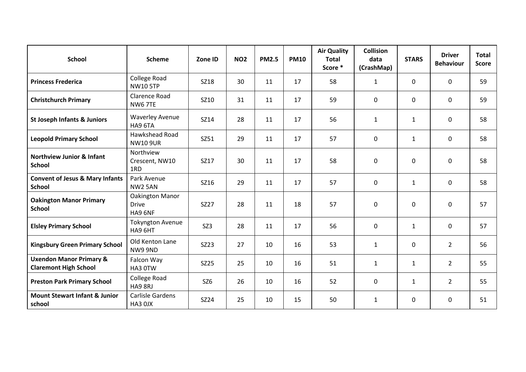| <b>School</b>                                                      | <b>Scheme</b>                              | Zone ID         | <b>NO2</b> | <b>PM2.5</b> | <b>PM10</b> | <b>Air Quality</b><br><b>Total</b><br>Score * | Collision<br>data<br>(CrashMap) | <b>STARS</b> | <b>Driver</b><br><b>Behaviour</b> | <b>Total</b><br><b>Score</b> |
|--------------------------------------------------------------------|--------------------------------------------|-----------------|------------|--------------|-------------|-----------------------------------------------|---------------------------------|--------------|-----------------------------------|------------------------------|
| <b>Princess Frederica</b>                                          | College Road<br><b>NW10 5TP</b>            | SZ18            | 30         | 11           | 17          | 58                                            | $\mathbf{1}$                    | $\mathbf 0$  | $\mathbf 0$                       | 59                           |
| <b>Christchurch Primary</b>                                        | <b>Clarence Road</b><br><b>NW6 7TE</b>     | SZ10            | 31         | 11           | 17          | 59                                            | 0                               | $\mathbf 0$  | 0                                 | 59                           |
| <b>St Joseph Infants &amp; Juniors</b>                             | <b>Waverley Avenue</b><br>HA9 6TA          | SZ14            | 28         | 11           | 17          | 56                                            | $\mathbf{1}$                    | $\mathbf{1}$ | 0                                 | 58                           |
| <b>Leopold Primary School</b>                                      | Hawkshead Road<br><b>NW10 9UR</b>          | SZ51            | 29         | 11           | 17          | 57                                            | $\mathbf 0$                     | $\mathbf{1}$ | 0                                 | 58                           |
| <b>Northview Junior &amp; Infant</b><br><b>School</b>              | Northview<br>Crescent, NW10<br>1RD         | SZ17            | 30         | 11           | 17          | 58                                            | $\mathbf 0$                     | $\mathbf 0$  | 0                                 | 58                           |
| <b>Convent of Jesus &amp; Mary Infants</b><br><b>School</b>        | Park Avenue<br><b>NW2 5AN</b>              | SZ16            | 29         | 11           | 17          | 57                                            | $\mathbf 0$                     | $\mathbf{1}$ | 0                                 | 58                           |
| <b>Oakington Manor Primary</b><br><b>School</b>                    | Oakington Manor<br><b>Drive</b><br>HA9 6NF | SZ27            | 28         | 11           | 18          | 57                                            | $\mathbf 0$                     | $\mathbf 0$  | 0                                 | 57                           |
| <b>Elsley Primary School</b>                                       | <b>Tokyngton Avenue</b><br>HA9 6HT         | SZ3             | 28         | 11           | 17          | 56                                            | $\mathbf 0$                     | $\mathbf{1}$ | $\mathbf 0$                       | 57                           |
| <b>Kingsbury Green Primary School</b>                              | Old Kenton Lane<br>NW9 9ND                 | SZ23            | 27         | 10           | 16          | 53                                            | $\mathbf{1}$                    | $\mathbf 0$  | $\overline{2}$                    | 56                           |
| <b>Uxendon Manor Primary &amp;</b><br><b>Claremont High School</b> | Falcon Way<br>HA3 0TW                      | SZ25            | 25         | 10           | 16          | 51                                            | $\mathbf{1}$                    | $\mathbf{1}$ | $\overline{2}$                    | 55                           |
| <b>Preston Park Primary School</b>                                 | College Road<br>HA9 8RJ                    | SZ <sub>6</sub> | 26         | 10           | 16          | 52                                            | $\mathbf 0$                     | $\mathbf{1}$ | $\overline{2}$                    | 55                           |
| <b>Mount Stewart Infant &amp; Junior</b><br>school                 | Carlisle Gardens<br>HA3 OJX                | SZ24            | 25         | 10           | 15          | 50                                            | $\mathbf{1}$                    | 0            | 0                                 | 51                           |